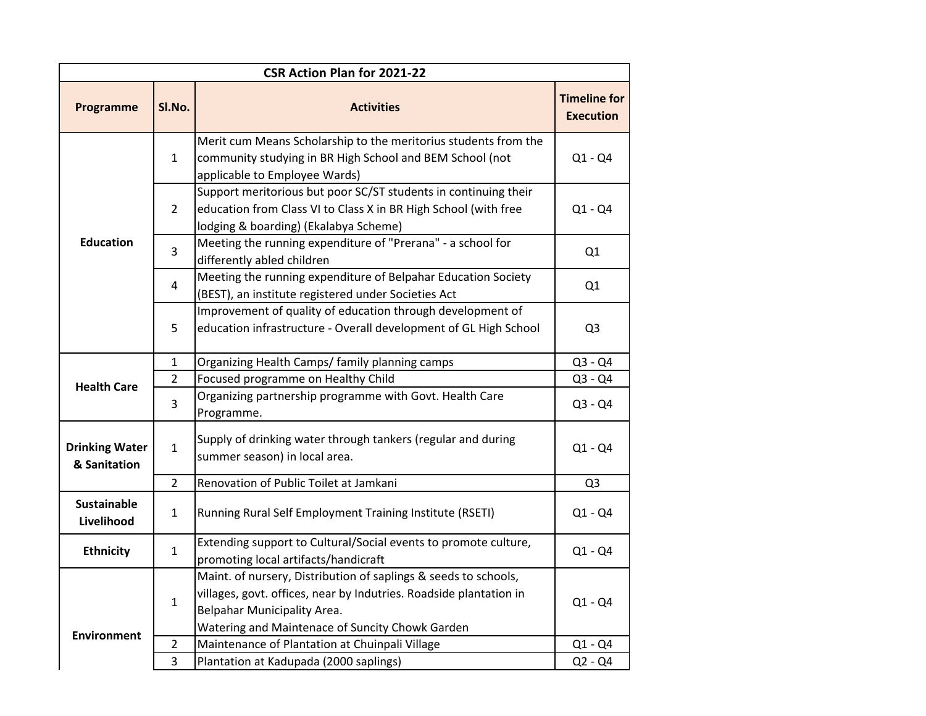| <b>CSR Action Plan for 2021-22</b>    |                |                                                                                                                                                                                                                         |                                         |  |
|---------------------------------------|----------------|-------------------------------------------------------------------------------------------------------------------------------------------------------------------------------------------------------------------------|-----------------------------------------|--|
| <b>Programme</b>                      | SI.No.         | <b>Activities</b>                                                                                                                                                                                                       | <b>Timeline for</b><br><b>Execution</b> |  |
| <b>Education</b>                      | $\mathbf{1}$   | Merit cum Means Scholarship to the meritorius students from the<br>community studying in BR High School and BEM School (not<br>applicable to Employee Wards)                                                            | $Q1 - Q4$                               |  |
|                                       | $\overline{2}$ | Support meritorious but poor SC/ST students in continuing their<br>education from Class VI to Class X in BR High School (with free<br>lodging & boarding) (Ekalabya Scheme)                                             | $Q1 - Q4$                               |  |
|                                       | $\overline{3}$ | Meeting the running expenditure of "Prerana" - a school for<br>differently abled children                                                                                                                               | Q1                                      |  |
|                                       | $\overline{4}$ | Meeting the running expenditure of Belpahar Education Society<br>(BEST), an institute registered under Societies Act                                                                                                    | Q1                                      |  |
|                                       | 5              | Improvement of quality of education through development of<br>education infrastructure - Overall development of GL High School                                                                                          | Q <sub>3</sub>                          |  |
| <b>Health Care</b>                    | $\mathbf{1}$   | Organizing Health Camps/ family planning camps                                                                                                                                                                          | $Q3 - Q4$                               |  |
|                                       | $\overline{2}$ | Focused programme on Healthy Child                                                                                                                                                                                      | $Q3 - Q4$                               |  |
|                                       | 3              | Organizing partnership programme with Govt. Health Care<br>Programme.                                                                                                                                                   | $Q3 - Q4$                               |  |
| <b>Drinking Water</b><br>& Sanitation | $\mathbf{1}$   | Supply of drinking water through tankers (regular and during<br>summer season) in local area.                                                                                                                           | $Q1 - Q4$                               |  |
|                                       | $\overline{2}$ | Renovation of Public Toilet at Jamkani                                                                                                                                                                                  | Q <sub>3</sub>                          |  |
| <b>Sustainable</b><br>Livelihood      | $\mathbf{1}$   | Running Rural Self Employment Training Institute (RSETI)                                                                                                                                                                | $Q1 - Q4$                               |  |
| <b>Ethnicity</b>                      | $\mathbf{1}$   | Extending support to Cultural/Social events to promote culture,<br>promoting local artifacts/handicraft                                                                                                                 | $Q1 - Q4$                               |  |
| <b>Environment</b>                    | $\mathbf{1}$   | Maint. of nursery, Distribution of saplings & seeds to schools,<br>villages, govt. offices, near by Indutries. Roadside plantation in<br>Belpahar Municipality Area.<br>Watering and Maintenace of Suncity Chowk Garden | $Q1 - Q4$                               |  |
|                                       | $\overline{2}$ | Maintenance of Plantation at Chuinpali Village                                                                                                                                                                          | $Q1 - Q4$                               |  |
|                                       | $\overline{3}$ | Plantation at Kadupada (2000 saplings)                                                                                                                                                                                  | $Q2 - Q4$                               |  |